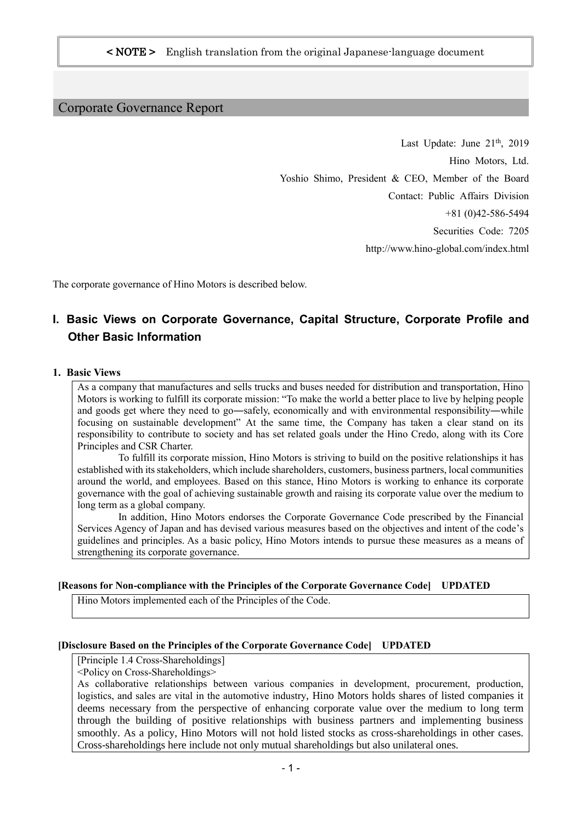# Corporate Governance Report

Last Update: June  $21<sup>th</sup>$ , 2019 Hino Motors, Ltd. Yoshio Shimo, President & CEO, Member of the Board Contact: Public Affairs Division +81 (0)42-586-5494 Securities Code: 7205 http://www.hino-global.com/index.html

The corporate governance of Hino Motors is described below.

# **I. Basic Views on Corporate Governance, Capital Structure, Corporate Profile and Other Basic Information**

#### **1. Basic Views**

As a company that manufactures and sells trucks and buses needed for distribution and transportation, Hino Motors is working to fulfill its corporate mission: "To make the world a better place to live by helping people and goods get where they need to go―safely, economically and with environmental responsibility―while focusing on sustainable development" At the same time, the Company has taken a clear stand on its responsibility to contribute to society and has set related goals under the Hino Credo, along with its Core Principles and CSR Charter.

To fulfill its corporate mission, Hino Motors is striving to build on the positive relationships it has established with its stakeholders, which include shareholders, customers, business partners, local communities around the world, and employees. Based on this stance, Hino Motors is working to enhance its corporate governance with the goal of achieving sustainable growth and raising its corporate value over the medium to long term as a global company.

In addition, Hino Motors endorses the Corporate Governance Code prescribed by the Financial Services Agency of Japan and has devised various measures based on the objectives and intent of the code's guidelines and principles. As a basic policy, Hino Motors intends to pursue these measures as a means of strengthening its corporate governance.

#### **[Reasons for Non-compliance with the Principles of the Corporate Governance Code] UPDATED**

Hino Motors implemented each of the Principles of the Code.

#### **[Disclosure Based on the Principles of the Corporate Governance Code] UPDATED**

[Principle 1.4 Cross-Shareholdings]

<Policy on Cross-Shareholdings>

As collaborative relationships between various companies in development, procurement, production, logistics, and sales are vital in the automotive industry, Hino Motors holds shares of listed companies it deems necessary from the perspective of enhancing corporate value over the medium to long term through the building of positive relationships with business partners and implementing business smoothly. As a policy, Hino Motors will not hold listed stocks as cross-shareholdings in other cases. Cross-shareholdings here include not only mutual shareholdings but also unilateral ones.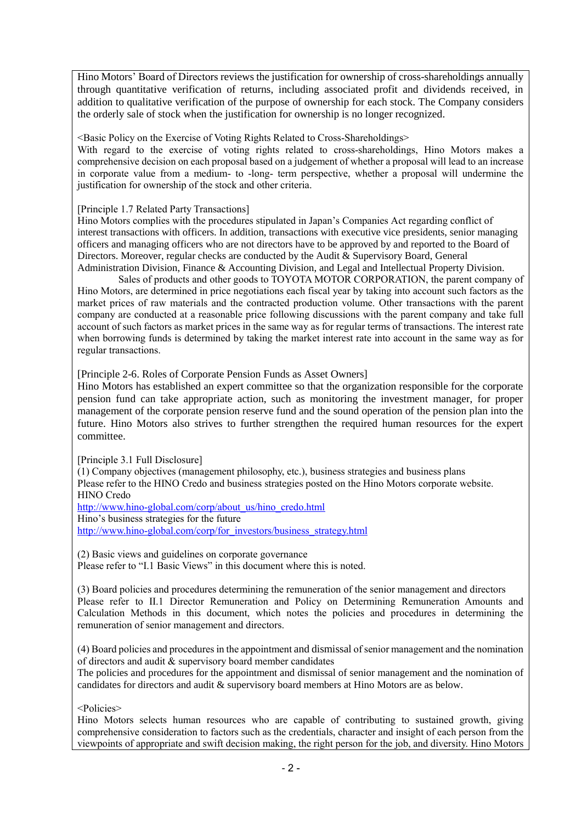Hino Motors' Board of Directors reviews the justification for ownership of cross-shareholdings annually through quantitative verification of returns, including associated profit and dividends received, in addition to qualitative verification of the purpose of ownership for each stock. The Company considers the orderly sale of stock when the justification for ownership is no longer recognized.

<Basic Policy on the Exercise of Voting Rights Related to Cross-Shareholdings>

With regard to the exercise of voting rights related to cross-shareholdings, Hino Motors makes a comprehensive decision on each proposal based on a judgement of whether a proposal will lead to an increase in corporate value from a medium- to -long- term perspective, whether a proposal will undermine the justification for ownership of the stock and other criteria.

[Principle 1.7 Related Party Transactions]

Hino Motors complies with the procedures stipulated in Japan's Companies Act regarding conflict of interest transactions with officers. In addition, transactions with executive vice presidents, senior managing officers and managing officers who are not directors have to be approved by and reported to the Board of Directors. Moreover, regular checks are conducted by the Audit & Supervisory Board, General Administration Division, Finance & Accounting Division, and Legal and Intellectual Property Division.

Sales of products and other goods to TOYOTA MOTOR CORPORATION, the parent company of Hino Motors, are determined in price negotiations each fiscal year by taking into account such factors as the market prices of raw materials and the contracted production volume. Other transactions with the parent company are conducted at a reasonable price following discussions with the parent company and take full account of such factors as market prices in the same way as for regular terms of transactions. The interest rate when borrowing funds is determined by taking the market interest rate into account in the same way as for regular transactions.

[Principle 2-6. Roles of Corporate Pension Funds as Asset Owners]

Hino Motors has established an expert committee so that the organization responsible for the corporate pension fund can take appropriate action, such as monitoring the investment manager, for proper management of the corporate pension reserve fund and the sound operation of the pension plan into the future. Hino Motors also strives to further strengthen the required human resources for the expert committee.

[Principle 3.1 Full Disclosure]

(1) Company objectives (management philosophy, etc.), business strategies and business plans Please refer to the HINO Credo and business strategies posted on the Hino Motors corporate website. HINO Credo

[http://www.hino-global.com/corp/about\\_us/hino\\_credo.html](http://www.hino-global.com/corp/about_us/hino_credo.html) Hino's business strategies for the future [http://www.hino-global.com/corp/for\\_investors/business\\_strategy.html](http://www.hino-global.com/corp/for_investors/business_strategy.html)

(2) Basic views and guidelines on corporate governance Please refer to "I.1 Basic Views" in this document where this is noted.

(3) Board policies and procedures determining the remuneration of the senior management and directors Please refer to II.1 Director Remuneration and Policy on Determining Remuneration Amounts and Calculation Methods in this document, which notes the policies and procedures in determining the remuneration of senior management and directors.

(4) Board policies and procedures in the appointment and dismissal of senior management and the nomination of directors and audit & supervisory board member candidates

The policies and procedures for the appointment and dismissal of senior management and the nomination of candidates for directors and audit & supervisory board members at Hino Motors are as below.

<Policies>

Hino Motors selects human resources who are capable of contributing to sustained growth, giving comprehensive consideration to factors such as the credentials, character and insight of each person from the viewpoints of appropriate and swift decision making, the right person for the job, and diversity. Hino Motors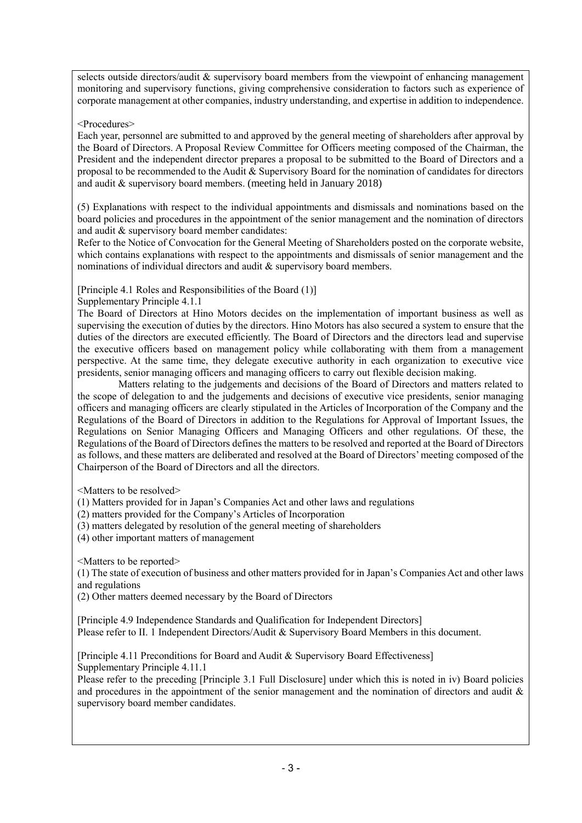selects outside directors/audit & supervisory board members from the viewpoint of enhancing management monitoring and supervisory functions, giving comprehensive consideration to factors such as experience of corporate management at other companies, industry understanding, and expertise in addition to independence.

## <Procedures>

Each year, personnel are submitted to and approved by the general meeting of shareholders after approval by the Board of Directors. A Proposal Review Committee for Officers meeting composed of the Chairman, the President and the independent director prepares a proposal to be submitted to the Board of Directors and a proposal to be recommended to the Audit & Supervisory Board for the nomination of candidates for directors and audit & supervisory board members. (meeting held in January 2018)

(5) Explanations with respect to the individual appointments and dismissals and nominations based on the board policies and procedures in the appointment of the senior management and the nomination of directors and audit & supervisory board member candidates:

Refer to the Notice of Convocation for the General Meeting of Shareholders posted on the corporate website, which contains explanations with respect to the appointments and dismissals of senior management and the nominations of individual directors and audit & supervisory board members.

[Principle 4.1 Roles and Responsibilities of the Board (1)]

Supplementary Principle 4.1.1

The Board of Directors at Hino Motors decides on the implementation of important business as well as supervising the execution of duties by the directors. Hino Motors has also secured a system to ensure that the duties of the directors are executed efficiently. The Board of Directors and the directors lead and supervise the executive officers based on management policy while collaborating with them from a management perspective. At the same time, they delegate executive authority in each organization to executive vice presidents, senior managing officers and managing officers to carry out flexible decision making.

Matters relating to the judgements and decisions of the Board of Directors and matters related to the scope of delegation to and the judgements and decisions of executive vice presidents, senior managing officers and managing officers are clearly stipulated in the Articles of Incorporation of the Company and the Regulations of the Board of Directors in addition to the Regulations for Approval of Important Issues, the Regulations on Senior Managing Officers and Managing Officers and other regulations. Of these, the Regulations of the Board of Directors defines the matters to be resolved and reported at the Board of Directors as follows, and these matters are deliberated and resolved at the Board of Directors' meeting composed of the Chairperson of the Board of Directors and all the directors.

<Matters to be resolved>

(1) Matters provided for in Japan's Companies Act and other laws and regulations

(2) matters provided for the Company's Articles of Incorporation

(3) matters delegated by resolution of the general meeting of shareholders

(4) other important matters of management

<Matters to be reported>

(1) The state of execution of business and other matters provided for in Japan's Companies Act and other laws and regulations

(2) Other matters deemed necessary by the Board of Directors

[Principle 4.9 Independence Standards and Qualification for Independent Directors] Please refer to II. 1 Independent Directors/Audit & Supervisory Board Members in this document.

[Principle 4.11 Preconditions for Board and Audit & Supervisory Board Effectiveness] Supplementary Principle 4.11.1

Please refer to the preceding [Principle 3.1 Full Disclosure] under which this is noted in iv) Board policies and procedures in the appointment of the senior management and the nomination of directors and audit  $\&$ supervisory board member candidates.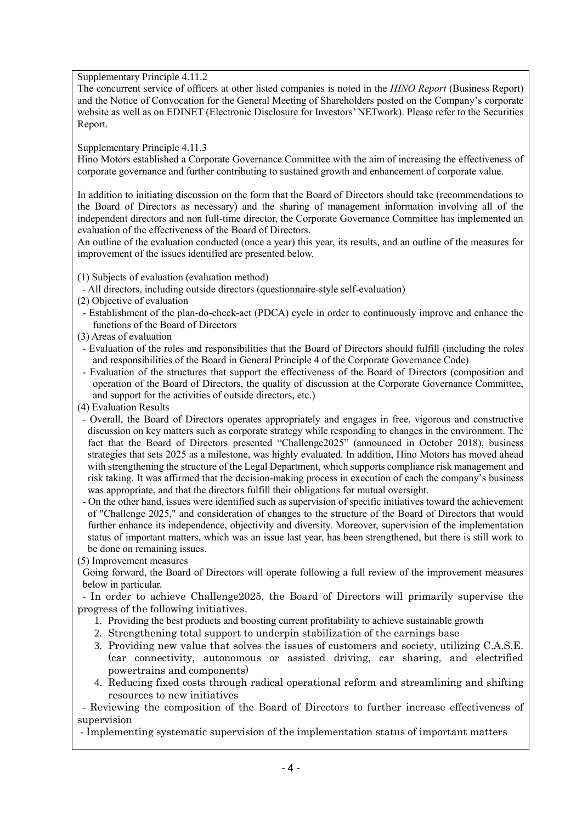Supplementary Principle 4.11.2

The concurrent service of officers at other listed companies is noted in the *HINO Report* (Business Report) and the Notice of Convocation for the General Meeting of Shareholders posted on the Company's corporate website as well as on EDINET (Electronic Disclosure for Investors' NETwork). Please refer to the Securities Report.

Supplementary Principle 4.11.3

Hino Motors established a Corporate Governance Committee with the aim of increasing the effectiveness of corporate governance and further contributing to sustained growth and enhancement of corporate value.

In addition to initiating discussion on the form that the Board of Directors should take (recommendations to the Board of Directors as necessary) and the sharing of management information involving all of the independent directors and non full-time director, the Corporate Governance Committee has implemented an evaluation of the effectiveness of the Board of Directors.

An outline of the evaluation conducted (once a year) this year, its results, and an outline of the measures for improvement of the issues identified are presented below.

- (1) Subjects of evaluation (evaluation method)
- All directors, including outside directors (questionnaire-style self-evaluation)
- (2) Objective of evaluation
- Establishment of the plan-do-check-act (PDCA) cycle in order to continuously improve and enhance the functions of the Board of Directors
- (3) Areas of evaluation
- Evaluation of the roles and responsibilities that the Board of Directors should fulfill (including the roles and responsibilities of the Board in General Principle 4 of the Corporate Governance Code)
- Evaluation of the structures that support the effectiveness of the Board of Directors (composition and operation of the Board of Directors, the quality of discussion at the Corporate Governance Committee, and support for the activities of outside directors, etc.)
- (4) Evaluation Results
- Overall, the Board of Directors operates appropriately and engages in free, vigorous and constructive discussion on key matters such as corporate strategy while responding to changes in the environment. The fact that the Board of Directors presented "Challenge2025" (announced in October 2018), business strategies that sets 2025 as a milestone, was highly evaluated. In addition, Hino Motors has moved ahead with strengthening the structure of the Legal Department, which supports compliance risk management and risk taking. It was affirmed that the decision-making process in execution of each the company's business was appropriate, and that the directors fulfill their obligations for mutual oversight.
- On the other hand, issues were identified such as supervision of specific initiatives toward the achievement of "Challenge 2025," and consideration of changes to the structure of the Board of Directors that would further enhance its independence, objectivity and diversity. Moreover, supervision of the implementation status of important matters, which was an issue last year, has been strengthened, but there is still work to be done on remaining issues.

(5) Improvement measures

Going forward, the Board of Directors will operate following a full review of the improvement measures below in particular.

- In order to achieve Challenge2025, the Board of Directors will primarily supervise the progress of the following initiatives.

- 1. Providing the best products and boosting current profitability to achieve sustainable growth
- 2. Strengthening total support to underpin stabilization of the earnings base
- 3. Providing new value that solves the issues of customers and society, utilizing C.A.S.E. (car connectivity, autonomous or assisted driving, car sharing, and electrified powertrains and components)
- 4. Reducing fixed costs through radical operational reform and streamlining and shifting resources to new initiatives

- Reviewing the composition of the Board of Directors to further increase effectiveness of supervision

- Implementing systematic supervision of the implementation status of important matters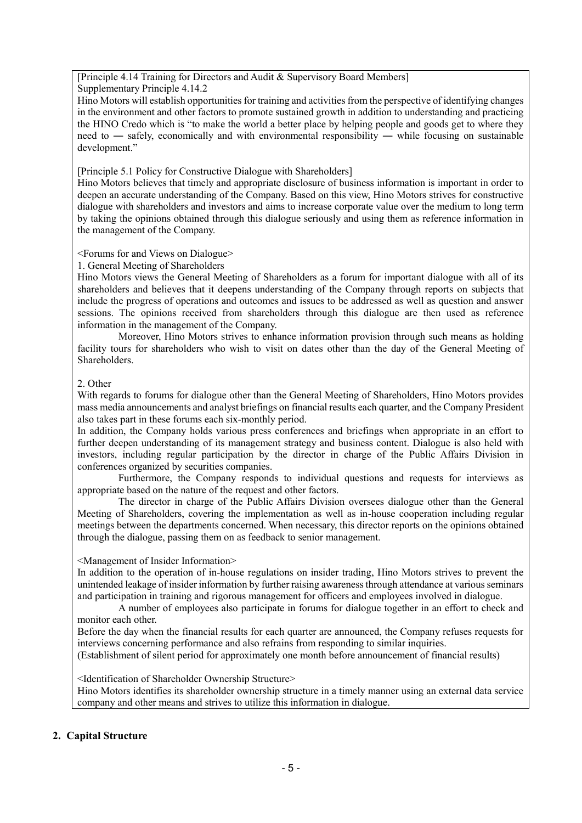[Principle 4.14 Training for Directors and Audit & Supervisory Board Members]

Supplementary Principle 4.14.2

Hino Motors will establish opportunities for training and activities from the perspective of identifying changes in the environment and other factors to promote sustained growth in addition to understanding and practicing the HINO Credo which is "to make the world a better place by helping people and goods get to where they need to — safely, economically and with environmental responsibility — while focusing on sustainable development."

[Principle 5.1 Policy for Constructive Dialogue with Shareholders]

Hino Motors believes that timely and appropriate disclosure of business information is important in order to deepen an accurate understanding of the Company. Based on this view, Hino Motors strives for constructive dialogue with shareholders and investors and aims to increase corporate value over the medium to long term by taking the opinions obtained through this dialogue seriously and using them as reference information in the management of the Company.

## <Forums for and Views on Dialogue>

## 1. General Meeting of Shareholders

Hino Motors views the General Meeting of Shareholders as a forum for important dialogue with all of its shareholders and believes that it deepens understanding of the Company through reports on subjects that include the progress of operations and outcomes and issues to be addressed as well as question and answer sessions. The opinions received from shareholders through this dialogue are then used as reference information in the management of the Company.

Moreover, Hino Motors strives to enhance information provision through such means as holding facility tours for shareholders who wish to visit on dates other than the day of the General Meeting of Shareholders.

## 2. Other

With regards to forums for dialogue other than the General Meeting of Shareholders, Hino Motors provides mass media announcements and analyst briefings on financial results each quarter, and the Company President also takes part in these forums each six-monthly period.

In addition, the Company holds various press conferences and briefings when appropriate in an effort to further deepen understanding of its management strategy and business content. Dialogue is also held with investors, including regular participation by the director in charge of the Public Affairs Division in conferences organized by securities companies.

Furthermore, the Company responds to individual questions and requests for interviews as appropriate based on the nature of the request and other factors.

The director in charge of the Public Affairs Division oversees dialogue other than the General Meeting of Shareholders, covering the implementation as well as in-house cooperation including regular meetings between the departments concerned. When necessary, this director reports on the opinions obtained through the dialogue, passing them on as feedback to senior management.

#### <Management of Insider Information>

In addition to the operation of in-house regulations on insider trading, Hino Motors strives to prevent the unintended leakage of insider information by further raising awareness through attendance at various seminars and participation in training and rigorous management for officers and employees involved in dialogue.

A number of employees also participate in forums for dialogue together in an effort to check and monitor each other.

Before the day when the financial results for each quarter are announced, the Company refuses requests for interviews concerning performance and also refrains from responding to similar inquiries.

(Establishment of silent period for approximately one month before announcement of financial results)

<Identification of Shareholder Ownership Structure>

Hino Motors identifies its shareholder ownership structure in a timely manner using an external data service company and other means and strives to utilize this information in dialogue.

# **2. Capital Structure**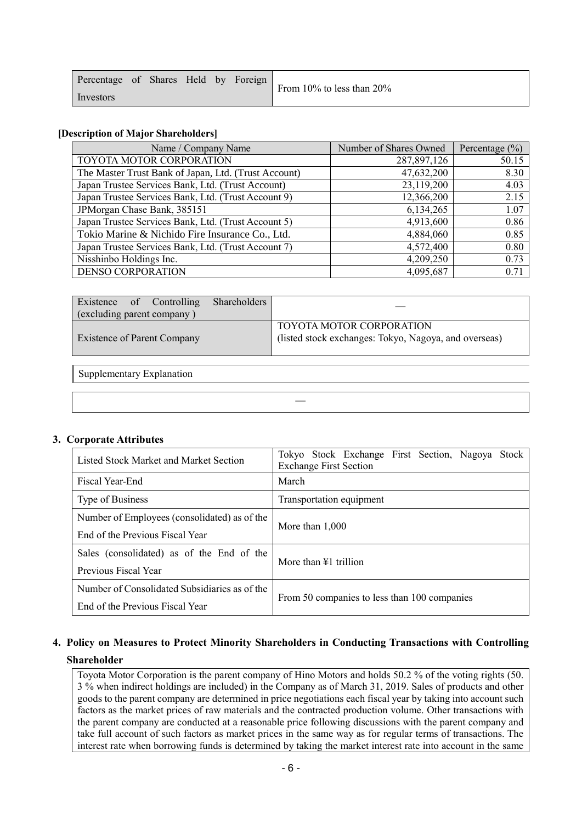| Percentage of Shares Held by Foreign |  |  | From 10% to less than 20% |
|--------------------------------------|--|--|---------------------------|
| Investors                            |  |  |                           |

## **[Description of Major Shareholders]**

| Name / Company Name                                  | Number of Shares Owned | Percentage $(\%)$ |
|------------------------------------------------------|------------------------|-------------------|
| TOYOTA MOTOR CORPORATION                             | 287,897,126            | 50.15             |
| The Master Trust Bank of Japan, Ltd. (Trust Account) | 47,632,200             | 8.30              |
| Japan Trustee Services Bank, Ltd. (Trust Account)    | 23,119,200             | 4.03              |
| Japan Trustee Services Bank, Ltd. (Trust Account 9)  | 12,366,200             | 2.15              |
| JPMorgan Chase Bank, 385151                          | 6,134,265              | 1.07              |
| Japan Trustee Services Bank, Ltd. (Trust Account 5)  | 4,913,600              | 0.86              |
| Tokio Marine & Nichido Fire Insurance Co., Ltd.      | 4,884,060              | 0.85              |
| Japan Trustee Services Bank, Ltd. (Trust Account 7)  | 4,572,400              | 0.80              |
| Nisshinbo Holdings Inc.                              | 4,209,250              | 0.73              |
| <b>DENSO CORPORATION</b>                             | 4,095,687              | 0.71              |

| Existence of Controlling<br>Shareholders<br>(excluding parent company) |                                                                                          |  |  |  |
|------------------------------------------------------------------------|------------------------------------------------------------------------------------------|--|--|--|
| <b>Existence of Parent Company</b>                                     | <b>TOYOTA MOTOR CORPORATION</b><br>(listed stock exchanges: Tokyo, Nagoya, and overseas) |  |  |  |
| Supplementary Explanation                                              |                                                                                          |  |  |  |

―

#### **3. Corporate Attributes**

| Listed Stock Market and Market Section        | Tokyo Stock Exchange First Section, Nagoya<br>Stock<br><b>Exchange First Section</b> |  |  |  |  |  |  |  |  |
|-----------------------------------------------|--------------------------------------------------------------------------------------|--|--|--|--|--|--|--|--|
| Fiscal Year-End                               | March                                                                                |  |  |  |  |  |  |  |  |
| Type of Business                              | Transportation equipment                                                             |  |  |  |  |  |  |  |  |
| Number of Employees (consolidated) as of the  |                                                                                      |  |  |  |  |  |  |  |  |
| End of the Previous Fiscal Year               | More than $1,000$                                                                    |  |  |  |  |  |  |  |  |
| Sales (consolidated) as of the End of the     | More than $\angle 1$ trillion                                                        |  |  |  |  |  |  |  |  |
| Previous Fiscal Year                          |                                                                                      |  |  |  |  |  |  |  |  |
| Number of Consolidated Subsidiaries as of the |                                                                                      |  |  |  |  |  |  |  |  |
| End of the Previous Fiscal Year               | From 50 companies to less than 100 companies                                         |  |  |  |  |  |  |  |  |

# **4. Policy on Measures to Protect Minority Shareholders in Conducting Transactions with Controlling Shareholder**

Toyota Motor Corporation is the parent company of Hino Motors and holds 50.2 % of the voting rights (50. 3 % when indirect holdings are included) in the Company as of March 31, 2019. Sales of products and other goods to the parent company are determined in price negotiations each fiscal year by taking into account such factors as the market prices of raw materials and the contracted production volume. Other transactions with the parent company are conducted at a reasonable price following discussions with the parent company and take full account of such factors as market prices in the same way as for regular terms of transactions. The interest rate when borrowing funds is determined by taking the market interest rate into account in the same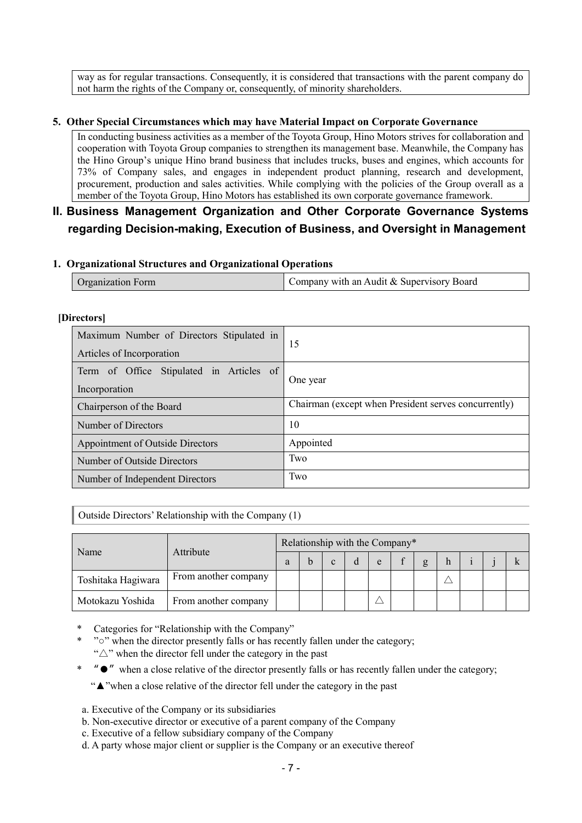way as for regular transactions. Consequently, it is considered that transactions with the parent company do not harm the rights of the Company or, consequently, of minority shareholders.

## **5. Other Special Circumstances which may have Material Impact on Corporate Governance**

In conducting business activities as a member of the Toyota Group, Hino Motors strives for collaboration and cooperation with Toyota Group companies to strengthen its management base. Meanwhile, the Company has the Hino Group's unique Hino brand business that includes trucks, buses and engines, which accounts for 73% of Company sales, and engages in independent product planning, research and development, procurement, production and sales activities. While complying with the policies of the Group overall as a member of the Toyota Group, Hino Motors has established its own corporate governance framework.

# **II. Business Management Organization and Other Corporate Governance Systems regarding Decision-making, Execution of Business, and Oversight in Management**

## **1. Organizational Structures and Organizational Operations**

| <b>Organization Form</b> | Company with an Audit & Supervisory Board |
|--------------------------|-------------------------------------------|
|                          |                                           |

#### **[Directors]**

| Maximum Number of Directors Stipulated in<br>Articles of Incorporation | 15                                                   |
|------------------------------------------------------------------------|------------------------------------------------------|
| Term of Office Stipulated in Articles of<br>Incorporation              | One year                                             |
| Chairperson of the Board                                               | Chairman (except when President serves concurrently) |
| Number of Directors                                                    | 10                                                   |
| Appointment of Outside Directors                                       | Appointed                                            |
| Number of Outside Directors                                            | Two                                                  |
| Number of Independent Directors                                        | Two                                                  |

Outside Directors' Relationship with the Company (1)

| Name               | Attribute            | Relationship with the Company* |  |  |  |   |  |   |  |  |  |  |
|--------------------|----------------------|--------------------------------|--|--|--|---|--|---|--|--|--|--|
|                    |                      |                                |  |  |  | e |  | g |  |  |  |  |
| Toshitaka Hagiwara | From another company |                                |  |  |  |   |  |   |  |  |  |  |
| Motokazu Yoshida   | From another company |                                |  |  |  |   |  |   |  |  |  |  |

Categories for "Relationship with the Company"

- "<sup>o</sup>" when the director presently falls or has recently fallen under the category; " $\triangle$ " when the director fell under the category in the past
- $\bullet$ " when a close relative of the director presently falls or has recently fallen under the category;

"▲"when a close relative of the director fell under the category in the past

- a. Executive of the Company or its subsidiaries
- b. Non-executive director or executive of a parent company of the Company
- c. Executive of a fellow subsidiary company of the Company
- d. A party whose major client or supplier is the Company or an executive thereof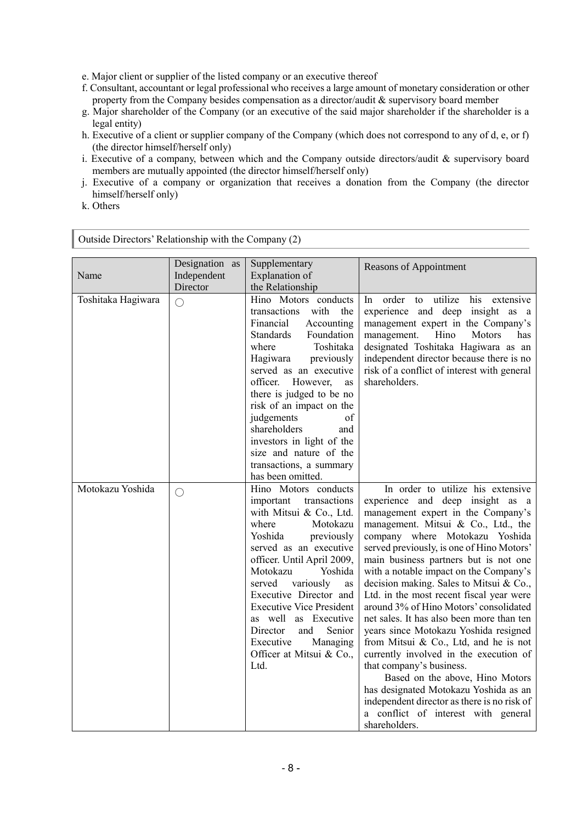e. Major client or supplier of the listed company or an executive thereof

- f. Consultant, accountant or legal professional who receives a large amount of monetary consideration or other property from the Company besides compensation as a director/audit & supervisory board member
- g. Major shareholder of the Company (or an executive of the said major shareholder if the shareholder is a legal entity)
- h. Executive of a client or supplier company of the Company (which does not correspond to any of d, e, or f) (the director himself/herself only)
- i. Executive of a company, between which and the Company outside directors/audit & supervisory board members are mutually appointed (the director himself/herself only)
- j. Executive of a company or organization that receives a donation from the Company (the director himself/herself only)
- k. Others

| Outside Directors Relationship with the Company $(2)$ |                                           |                                                                                                                                                                                                                                                                                                                                                                                                                           |                                                                                                                                                                                                                                                                                                                                                                                                                                                                                                                                                                                                                                                                                                                                                                                                                                               |
|-------------------------------------------------------|-------------------------------------------|---------------------------------------------------------------------------------------------------------------------------------------------------------------------------------------------------------------------------------------------------------------------------------------------------------------------------------------------------------------------------------------------------------------------------|-----------------------------------------------------------------------------------------------------------------------------------------------------------------------------------------------------------------------------------------------------------------------------------------------------------------------------------------------------------------------------------------------------------------------------------------------------------------------------------------------------------------------------------------------------------------------------------------------------------------------------------------------------------------------------------------------------------------------------------------------------------------------------------------------------------------------------------------------|
| Name                                                  | Designation as<br>Independent<br>Director | Supplementary<br>Explanation of<br>the Relationship                                                                                                                                                                                                                                                                                                                                                                       | <b>Reasons of Appointment</b>                                                                                                                                                                                                                                                                                                                                                                                                                                                                                                                                                                                                                                                                                                                                                                                                                 |
| Toshitaka Hagiwara                                    | $\bigcirc$                                | Hino Motors conducts<br>transactions with the<br>Financial<br>Accounting<br><b>Standards</b><br>Foundation<br>where<br>Toshitaka<br>Hagiwara<br>previously<br>served as an executive<br>officer. However,<br>as<br>there is judged to be no<br>risk of an impact on the<br>judgements<br>of<br>shareholders<br>and<br>investors in light of the<br>size and nature of the<br>transactions, a summary<br>has been omitted. | order to utilize his extensive<br>In<br>experience and deep insight as a<br>management expert in the Company's<br>management.<br>Hino<br>Motors<br>has<br>designated Toshitaka Hagiwara as an<br>independent director because there is no<br>risk of a conflict of interest with general<br>shareholders.                                                                                                                                                                                                                                                                                                                                                                                                                                                                                                                                     |
| Motokazu Yoshida                                      | $\bigcirc$                                | Hino Motors conducts<br>transactions<br>important<br>with Mitsui & Co., Ltd.<br>where<br>Motokazu<br>Yoshida<br>previously<br>served as an executive<br>officer. Until April 2009,<br>Yoshida<br>Motokazu<br>served<br>variously<br>as<br>Executive Director and<br><b>Executive Vice President</b><br>as well as Executive<br>Director<br>Senior<br>and<br>Executive<br>Managing<br>Officer at Mitsui & Co.,<br>Ltd.     | In order to utilize his extensive<br>experience and deep insight as a<br>management expert in the Company's<br>management. Mitsui & Co., Ltd., the<br>company where Motokazu Yoshida<br>served previously, is one of Hino Motors'<br>main business partners but is not one<br>with a notable impact on the Company's<br>decision making. Sales to Mitsui & Co.,<br>Ltd. in the most recent fiscal year were<br>around 3% of Hino Motors' consolidated<br>net sales. It has also been more than ten<br>years since Motokazu Yoshida resigned<br>from Mitsui & Co., Ltd, and he is not<br>currently involved in the execution of<br>that company's business.<br>Based on the above, Hino Motors<br>has designated Motokazu Yoshida as an<br>independent director as there is no risk of<br>a conflict of interest with general<br>shareholders. |

Outside Directors' Relationship with the Company (2)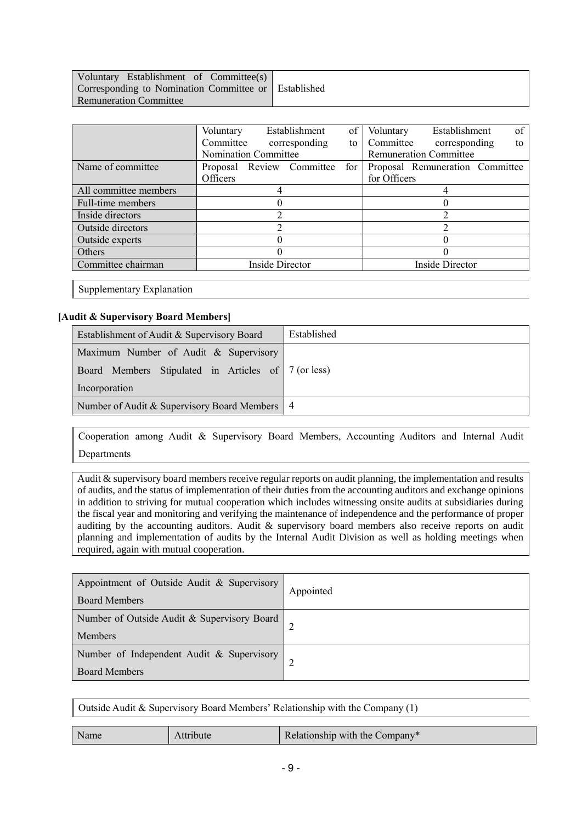| Voluntary Establishment of Committee(s)              |  |
|------------------------------------------------------|--|
| Corresponding to Nomination Committee or Established |  |
| <b>Remuneration Committee</b>                        |  |

|                       | Voluntary                 | Establishment          | of                     | Voluntary | Establishment                   | of |  |
|-----------------------|---------------------------|------------------------|------------------------|-----------|---------------------------------|----|--|
|                       | Committee                 | corresponding          | to                     | Committee | corresponding                   | to |  |
|                       | Nomination Committee      |                        |                        |           | <b>Remuneration Committee</b>   |    |  |
| Name of committee     | Proposal Review Committee |                        | for                    |           | Proposal Remuneration Committee |    |  |
|                       | Officers                  |                        | for Officers           |           |                                 |    |  |
| All committee members |                           |                        |                        |           |                                 |    |  |
| Full-time members     |                           |                        |                        |           |                                 |    |  |
| Inside directors      |                           |                        |                        |           |                                 |    |  |
| Outside directors     |                           |                        |                        |           |                                 |    |  |
| Outside experts       |                           |                        |                        |           |                                 |    |  |
| Others                |                           |                        |                        |           |                                 |    |  |
| Committee chairman    |                           | <b>Inside Director</b> | <b>Inside Director</b> |           |                                 |    |  |
|                       |                           |                        |                        |           |                                 |    |  |

Supplementary Explanation

## **[Audit & Supervisory Board Members]**

| Establishment of Audit & Supervisory Board          | Established |  |  |  |
|-----------------------------------------------------|-------------|--|--|--|
| Maximum Number of Audit & Supervisory               |             |  |  |  |
| Board Members Stipulated in Articles of 7 (or less) |             |  |  |  |
| Incorporation                                       |             |  |  |  |
| Number of Audit & Supervisory Board Members   4     |             |  |  |  |

Cooperation among Audit & Supervisory Board Members, Accounting Auditors and Internal Audit Departments

Audit & supervisory board members receive regular reports on audit planning, the implementation and results of audits, and the status of implementation of their duties from the accounting auditors and exchange opinions in addition to striving for mutual cooperation which includes witnessing onsite audits at subsidiaries during the fiscal year and monitoring and verifying the maintenance of independence and the performance of proper auditing by the accounting auditors. Audit & supervisory board members also receive reports on audit planning and implementation of audits by the Internal Audit Division as well as holding meetings when required, again with mutual cooperation.

| Appointment of Outside Audit & Supervisory<br><b>Board Members</b> | Appointed |  |  |  |
|--------------------------------------------------------------------|-----------|--|--|--|
| Number of Outside Audit & Supervisory Board<br><b>Members</b>      |           |  |  |  |
| Number of Independent Audit & Supervisory<br><b>Board Members</b>  |           |  |  |  |

Outside Audit & Supervisory Board Members' Relationship with the Company (1)

|--|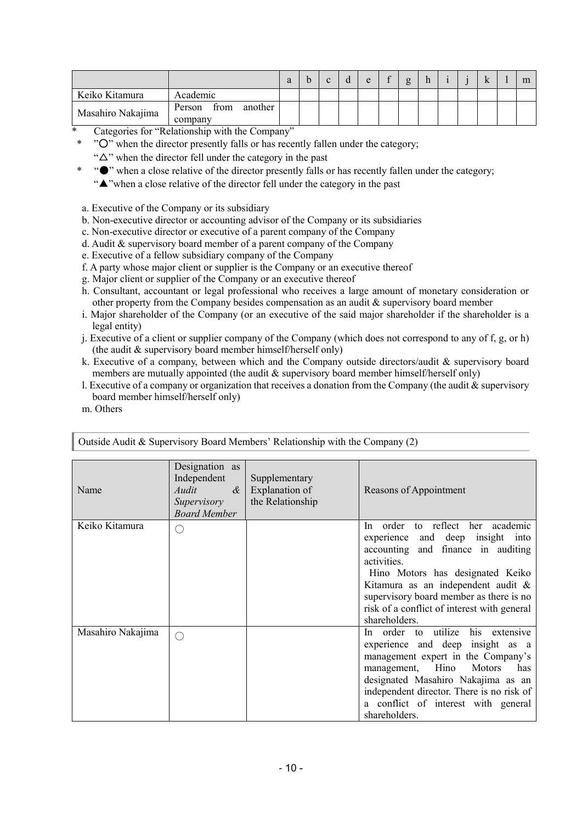|                   |                                      |  |  | $\Omega$ | ర |  |  | m |
|-------------------|--------------------------------------|--|--|----------|---|--|--|---|
| Keiko Kitamura    | Academic                             |  |  |          |   |  |  |   |
| Masahiro Nakajima | another<br>Person<br>trom<br>company |  |  |          |   |  |  |   |

- Categories for "Relationship with the Company"
- \* "O" when the director presently falls or has recently fallen under the category;
	- " $\Delta$ " when the director fell under the category in the past
		- \* "●" when a close relative of the director presently falls or has recently fallen under the category;
		- "▲"when a close relative of the director fell under the category in the past
- a. Executive of the Company or its subsidiary
- b. Non-executive director or accounting advisor of the Company or its subsidiaries
- c. Non-executive director or executive of a parent company of the Company
- d. Audit & supervisory board member of a parent company of the Company
- e. Executive of a fellow subsidiary company of the Company
- f. A party whose major client or supplier is the Company or an executive thereof
- g. Major client or supplier of the Company or an executive thereof
- h. Consultant, accountant or legal professional who receives a large amount of monetary consideration or other property from the Company besides compensation as an audit & supervisory board member
- i. Major shareholder of the Company (or an executive of the said major shareholder if the shareholder is a legal entity)
- j. Executive of a client or supplier company of the Company (which does not correspond to any of f, g, or h) (the audit & supervisory board member himself/herself only)
- k. Executive of a company, between which and the Company outside directors/audit & supervisory board members are mutually appointed (the audit & supervisory board member himself/herself only)
- l. Executive of a company or organization that receives a donation from the Company (the audit  $\&$  supervisory board member himself/herself only)
- m. Others

| Name              | Designation as<br>Independent<br>Audit<br>$\alpha$<br>Supervisory<br><b>Board Member</b> | Supplementary<br>Explanation of<br>the Relationship | Reasons of Appointment                                                                                                                                                                                                                                                                                         |
|-------------------|------------------------------------------------------------------------------------------|-----------------------------------------------------|----------------------------------------------------------------------------------------------------------------------------------------------------------------------------------------------------------------------------------------------------------------------------------------------------------------|
| Keiko Kitamura    |                                                                                          |                                                     | In order to reflect her academic<br>experience and deep insight into<br>accounting and finance in auditing<br>activities.<br>Hino Motors has designated Keiko<br>Kitamura as an independent audit &<br>supervisory board member as there is no<br>risk of a conflict of interest with general<br>shareholders. |
| Masahiro Nakajima |                                                                                          |                                                     | In order to utilize his extensive<br>experience and deep insight as a<br>management expert in the Company's<br>management, Hino<br>Motors<br>has<br>designated Masahiro Nakajima as an<br>independent director. There is no risk of<br>a conflict of interest with general<br>shareholders.                    |

Outside Audit & Supervisory Board Members' Relationship with the Company (2)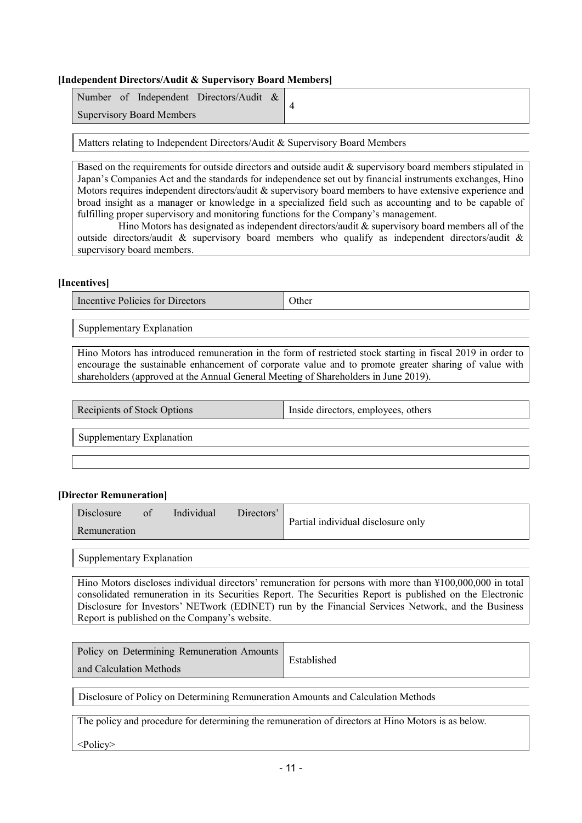#### **[Independent Directors/Audit & Supervisory Board Members]**

| Number of Independent Directors/Audit & |  |
|-----------------------------------------|--|
| <b>Supervisory Board Members</b>        |  |

Matters relating to Independent Directors/Audit & Supervisory Board Members

Based on the requirements for outside directors and outside audit & supervisory board members stipulated in Japan's Companies Act and the standards for independence set out by financial instruments exchanges, Hino Motors requires independent directors/audit & supervisory board members to have extensive experience and broad insight as a manager or knowledge in a specialized field such as accounting and to be capable of fulfilling proper supervisory and monitoring functions for the Company's management.

Hino Motors has designated as independent directors/audit & supervisory board members all of the outside directors/audit & supervisory board members who qualify as independent directors/audit & supervisory board members.

#### **[Incentives]**

Incentive Policies for Directors **Other** 

Supplementary Explanation

Hino Motors has introduced remuneration in the form of restricted stock starting in fiscal 2019 in order to encourage the sustainable enhancement of corporate value and to promote greater sharing of value with shareholders (approved at the Annual General Meeting of Shareholders in June 2019).

| others<br>$\sum_{i=1}^{n}$<br>$\cdot$ . $\cdot$ .<br>------- | Recipients of Stock Options | Inside directors, employees. |
|--------------------------------------------------------------|-----------------------------|------------------------------|
|--------------------------------------------------------------|-----------------------------|------------------------------|

Supplementary Explanation

#### **[Director Remuneration]**

| Disclosure   | 0 <sup>t</sup> | Individual | Directors' | Partial individual disclosure only |
|--------------|----------------|------------|------------|------------------------------------|
| Remuneration |                |            |            |                                    |

Supplementary Explanation

Hino Motors discloses individual directors' remuneration for persons with more than ¥100,000,000 in total consolidated remuneration in its Securities Report. The Securities Report is published on the Electronic Disclosure for Investors' NETwork (EDINET) run by the Financial Services Network, and the Business Report is published on the Company's website.

| Policy on Determining Remuneration Amounts | Established |
|--------------------------------------------|-------------|
| and Calculation Methods                    |             |

Disclosure of Policy on Determining Remuneration Amounts and Calculation Methods

The policy and procedure for determining the remuneration of directors at Hino Motors is as below.

<Policy>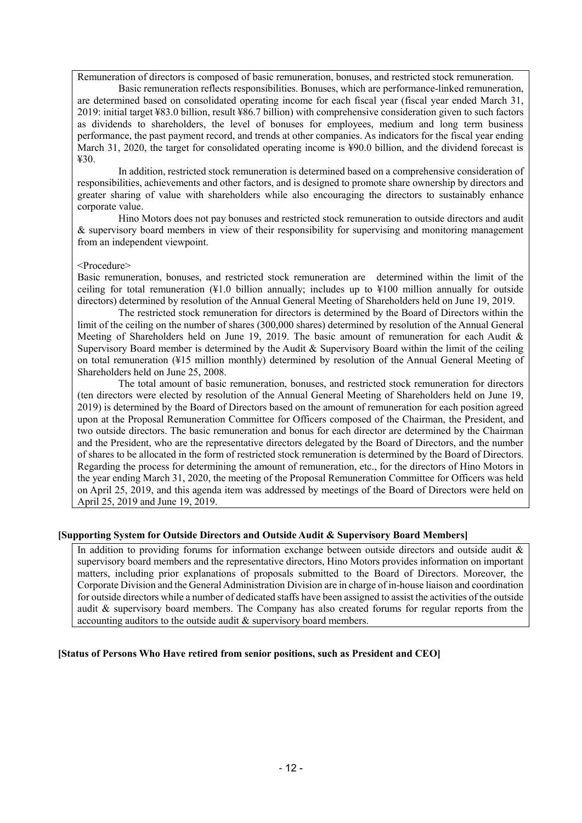Remuneration of directors is composed of basic remuneration, bonuses, and restricted stock remuneration.

Basic remuneration reflects responsibilities. Bonuses, which are performance-linked remuneration, are determined based on consolidated operating income for each fiscal year (fiscal year ended March 31, 2019: initial target ¥83.0 billion, result ¥86.7 billion) with comprehensive consideration given to such factors as dividends to shareholders, the level of bonuses for employees, medium and long term business performance, the past payment record, and trends at other companies. As indicators for the fiscal year ending March 31, 2020, the target for consolidated operating income is ¥90.0 billion, and the dividend forecast is ¥30.

In addition, restricted stock remuneration is determined based on a comprehensive consideration of responsibilities, achievements and other factors, and is designed to promote share ownership by directors and greater sharing of value with shareholders while also encouraging the directors to sustainably enhance corporate value.

Hino Motors does not pay bonuses and restricted stock remuneration to outside directors and audit & supervisory board members in view of their responsibility for supervising and monitoring management from an independent viewpoint.

#### <Procedure>

Basic remuneration, bonuses, and restricted stock remuneration are determined within the limit of the ceiling for total remuneration (¥1.0 billion annually; includes up to ¥100 million annually for outside directors) determined by resolution of the Annual General Meeting of Shareholders held on June 19, 2019.

The restricted stock remuneration for directors is determined by the Board of Directors within the limit of the ceiling on the number of shares (300,000 shares) determined by resolution of the Annual General Meeting of Shareholders held on June 19, 2019. The basic amount of remuneration for each Audit & Supervisory Board member is determined by the Audit & Supervisory Board within the limit of the ceiling on total remuneration (¥15 million monthly) determined by resolution of the Annual General Meeting of Shareholders held on June 25, 2008.

The total amount of basic remuneration, bonuses, and restricted stock remuneration for directors (ten directors were elected by resolution of the Annual General Meeting of Shareholders held on June 19, 2019) is determined by the Board of Directors based on the amount of remuneration for each position agreed upon at the Proposal Remuneration Committee for Officers composed of the Chairman, the President, and two outside directors. The basic remuneration and bonus for each director are determined by the Chairman and the President, who are the representative directors delegated by the Board of Directors, and the number of shares to be allocated in the form of restricted stock remuneration is determined by the Board of Directors. Regarding the process for determining the amount of remuneration, etc., for the directors of Hino Motors in the year ending March 31, 2020, the meeting of the Proposal Remuneration Committee for Officers was held on April 25, 2019, and this agenda item was addressed by meetings of the Board of Directors were held on April 25, 2019 and June 19, 2019.

#### **[Supporting System for Outside Directors and Outside Audit & Supervisory Board Members]**

In addition to providing forums for information exchange between outside directors and outside audit & supervisory board members and the representative directors, Hino Motors provides information on important matters, including prior explanations of proposals submitted to the Board of Directors. Moreover, the Corporate Division and the General Administration Division are in charge of in-house liaison and coordination for outside directors while a number of dedicated staffs have been assigned to assist the activities of the outside audit & supervisory board members. The Company has also created forums for regular reports from the accounting auditors to the outside audit & supervisory board members.

#### **[Status of Persons Who Have retired from senior positions, such as President and CEO]**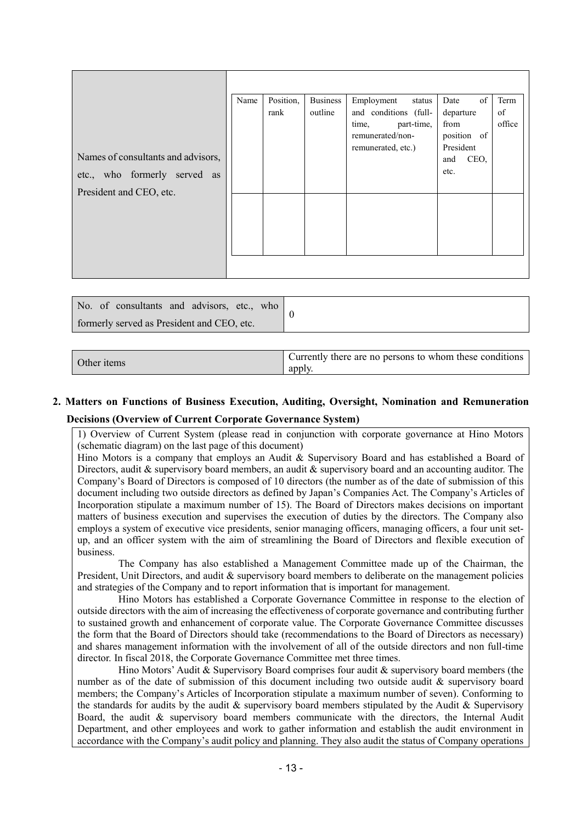| Names of consultants and advisors,<br>etc., who formerly served as<br>President and CEO, etc. | Name | Position,<br>rank | <b>Business</b><br>outline | Employment<br>status<br>and conditions (full-<br>time,<br>part-time,<br>remunerated/non-<br>remunerated, etc.) | of<br>Date<br>departure<br>from<br>position of<br>President<br>CEO,<br>and<br>etc. | Term<br>of<br>office |
|-----------------------------------------------------------------------------------------------|------|-------------------|----------------------------|----------------------------------------------------------------------------------------------------------------|------------------------------------------------------------------------------------|----------------------|
|                                                                                               |      |                   |                            |                                                                                                                |                                                                                    |                      |

| No. of consultants and advisors, etc., who |  |
|--------------------------------------------|--|
| formerly served as President and CEO, etc. |  |

| Other items | Currently there are no persons to whom these conditions<br>apply |
|-------------|------------------------------------------------------------------|
|-------------|------------------------------------------------------------------|

# **2. Matters on Functions of Business Execution, Auditing, Oversight, Nomination and Remuneration Decisions (Overview of Current Corporate Governance System)**

1) Overview of Current System (please read in conjunction with corporate governance at Hino Motors (schematic diagram) on the last page of this document)

Hino Motors is a company that employs an Audit & Supervisory Board and has established a Board of Directors, audit & supervisory board members, an audit & supervisory board and an accounting auditor. The Company's Board of Directors is composed of 10 directors (the number as of the date of submission of this document including two outside directors as defined by Japan's Companies Act. The Company's Articles of Incorporation stipulate a maximum number of 15). The Board of Directors makes decisions on important matters of business execution and supervises the execution of duties by the directors. The Company also employs a system of executive vice presidents, senior managing officers, managing officers, a four unit setup, and an officer system with the aim of streamlining the Board of Directors and flexible execution of business.

The Company has also established a Management Committee made up of the Chairman, the President, Unit Directors, and audit & supervisory board members to deliberate on the management policies and strategies of the Company and to report information that is important for management.

Hino Motors has established a Corporate Governance Committee in response to the election of outside directors with the aim of increasing the effectiveness of corporate governance and contributing further to sustained growth and enhancement of corporate value. The Corporate Governance Committee discusses the form that the Board of Directors should take (recommendations to the Board of Directors as necessary) and shares management information with the involvement of all of the outside directors and non full-time director. In fiscal 2018, the Corporate Governance Committee met three times.

Hino Motors' Audit  $\&$  Supervisory Board comprises four audit  $\&$  supervisory board members (the number as of the date of submission of this document including two outside audit & supervisory board members; the Company's Articles of Incorporation stipulate a maximum number of seven). Conforming to the standards for audits by the audit  $\&$  supervisory board members stipulated by the Audit  $\&$  Supervisory Board, the audit & supervisory board members communicate with the directors, the Internal Audit Department, and other employees and work to gather information and establish the audit environment in accordance with the Company's audit policy and planning. They also audit the status of Company operations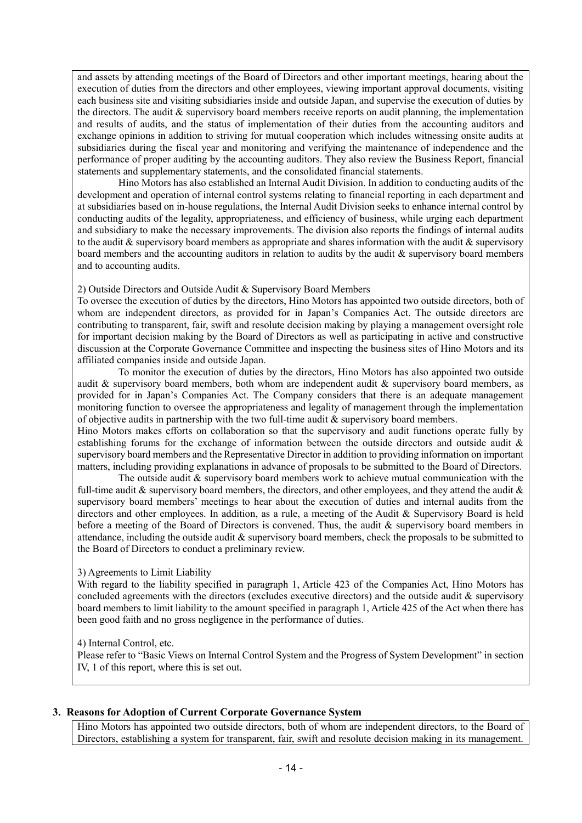and assets by attending meetings of the Board of Directors and other important meetings, hearing about the execution of duties from the directors and other employees, viewing important approval documents, visiting each business site and visiting subsidiaries inside and outside Japan, and supervise the execution of duties by the directors. The audit & supervisory board members receive reports on audit planning, the implementation and results of audits, and the status of implementation of their duties from the accounting auditors and exchange opinions in addition to striving for mutual cooperation which includes witnessing onsite audits at subsidiaries during the fiscal year and monitoring and verifying the maintenance of independence and the performance of proper auditing by the accounting auditors. They also review the Business Report, financial statements and supplementary statements, and the consolidated financial statements.

Hino Motors has also established an Internal Audit Division. In addition to conducting audits of the development and operation of internal control systems relating to financial reporting in each department and at subsidiaries based on in-house regulations, the Internal Audit Division seeks to enhance internal control by conducting audits of the legality, appropriateness, and efficiency of business, while urging each department and subsidiary to make the necessary improvements. The division also reports the findings of internal audits to the audit  $\&$  supervisory board members as appropriate and shares information with the audit  $\&$  supervisory board members and the accounting auditors in relation to audits by the audit & supervisory board members and to accounting audits.

#### 2) Outside Directors and Outside Audit & Supervisory Board Members

To oversee the execution of duties by the directors, Hino Motors has appointed two outside directors, both of whom are independent directors, as provided for in Japan's Companies Act. The outside directors are contributing to transparent, fair, swift and resolute decision making by playing a management oversight role for important decision making by the Board of Directors as well as participating in active and constructive discussion at the Corporate Governance Committee and inspecting the business sites of Hino Motors and its affiliated companies inside and outside Japan.

To monitor the execution of duties by the directors, Hino Motors has also appointed two outside audit & supervisory board members, both whom are independent audit & supervisory board members, as provided for in Japan's Companies Act. The Company considers that there is an adequate management monitoring function to oversee the appropriateness and legality of management through the implementation of objective audits in partnership with the two full-time audit & supervisory board members.

Hino Motors makes efforts on collaboration so that the supervisory and audit functions operate fully by establishing forums for the exchange of information between the outside directors and outside audit & supervisory board members and the Representative Director in addition to providing information on important matters, including providing explanations in advance of proposals to be submitted to the Board of Directors.

The outside audit  $\&$  supervisory board members work to achieve mutual communication with the full-time audit  $\&$  supervisory board members, the directors, and other employees, and they attend the audit  $\&$ supervisory board members' meetings to hear about the execution of duties and internal audits from the directors and other employees. In addition, as a rule, a meeting of the Audit & Supervisory Board is held before a meeting of the Board of Directors is convened. Thus, the audit & supervisory board members in attendance, including the outside audit & supervisory board members, check the proposals to be submitted to the Board of Directors to conduct a preliminary review.

#### 3) Agreements to Limit Liability

With regard to the liability specified in paragraph 1, Article 423 of the Companies Act, Hino Motors has concluded agreements with the directors (excludes executive directors) and the outside audit & supervisory board members to limit liability to the amount specified in paragraph 1, Article 425 of the Act when there has been good faith and no gross negligence in the performance of duties.

#### 4) Internal Control, etc.

Please refer to "Basic Views on Internal Control System and the Progress of System Development" in section IV, 1 of this report, where this is set out.

#### **3. Reasons for Adoption of Current Corporate Governance System**

Hino Motors has appointed two outside directors, both of whom are independent directors, to the Board of Directors, establishing a system for transparent, fair, swift and resolute decision making in its management.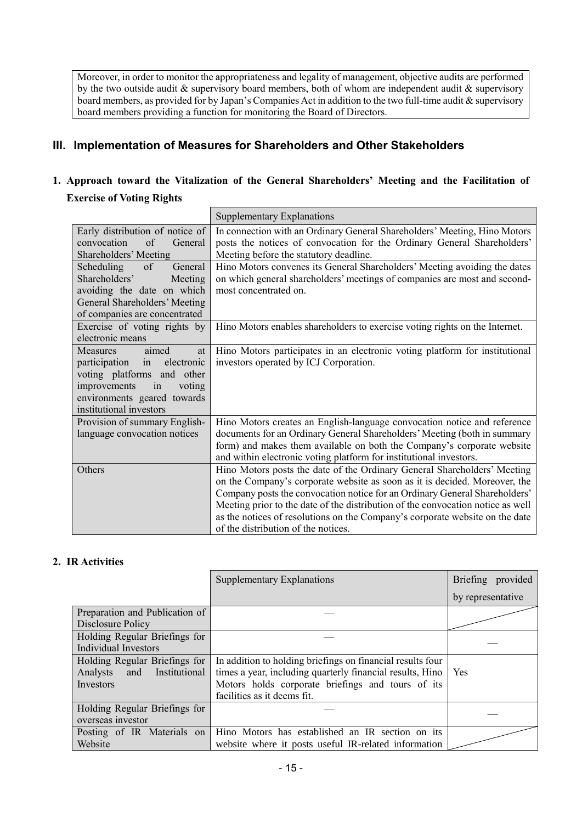Moreover, in order to monitor the appropriateness and legality of management, objective audits are performed by the two outside audit & supervisory board members, both of whom are independent audit & supervisory board members, as provided for by Japan's Companies Act in addition to the two full-time audit & supervisory board members providing a function for monitoring the Board of Directors.

# **III. Implementation of Measures for Shareholders and Other Stakeholders**

# **1. Approach toward the Vitalization of the General Shareholders' Meeting and the Facilitation of Exercise of Voting Rights**

|                                 | <b>Supplementary Explanations</b>                                               |
|---------------------------------|---------------------------------------------------------------------------------|
| Early distribution of notice of | In connection with an Ordinary General Shareholders' Meeting, Hino Motors       |
| convocation<br>of<br>General    | posts the notices of convocation for the Ordinary General Shareholders'         |
| Shareholders' Meeting           | Meeting before the statutory deadline.                                          |
| Scheduling<br>of<br>General     | Hino Motors convenes its General Shareholders' Meeting avoiding the dates       |
| Shareholders'<br>Meeting        | on which general shareholders' meetings of companies are most and second-       |
| avoiding the date on which      | most concentrated on.                                                           |
| General Shareholders' Meeting   |                                                                                 |
| of companies are concentrated   |                                                                                 |
| Exercise of voting rights by    | Hino Motors enables shareholders to exercise voting rights on the Internet.     |
| electronic means                |                                                                                 |
| Measures<br>aimed<br>at         | Hino Motors participates in an electronic voting platform for institutional     |
| participation in<br>electronic  | investors operated by ICJ Corporation.                                          |
| voting platforms and other      |                                                                                 |
| improvements<br>in<br>voting    |                                                                                 |
| environments geared towards     |                                                                                 |
| institutional investors         |                                                                                 |
| Provision of summary English-   | Hino Motors creates an English-language convocation notice and reference        |
| language convocation notices    | documents for an Ordinary General Shareholders' Meeting (both in summary        |
|                                 | form) and makes them available on both the Company's corporate website          |
|                                 | and within electronic voting platform for institutional investors.              |
| Others                          | Hino Motors posts the date of the Ordinary General Shareholders' Meeting        |
|                                 | on the Company's corporate website as soon as it is decided. Moreover, the      |
|                                 | Company posts the convocation notice for an Ordinary General Shareholders'      |
|                                 | Meeting prior to the date of the distribution of the convocation notice as well |
|                                 | as the notices of resolutions on the Company's corporate website on the date    |
|                                 | of the distribution of the notices.                                             |

# **2. IR Activities**

|                                  | <b>Supplementary Explanations</b>                          | Briefing provided |
|----------------------------------|------------------------------------------------------------|-------------------|
|                                  |                                                            | by representative |
| Preparation and Publication of   |                                                            |                   |
| Disclosure Policy                |                                                            |                   |
| Holding Regular Briefings for    |                                                            |                   |
| Individual Investors             |                                                            |                   |
| Holding Regular Briefings for    | In addition to holding briefings on financial results four |                   |
| Analysts<br>Institutional<br>and | times a year, including quarterly financial results, Hino  | Yes               |
| Investors                        | Motors holds corporate briefings and tours of its          |                   |
|                                  | facilities as it deems fit.                                |                   |
| Holding Regular Briefings for    |                                                            |                   |
| overseas investor                |                                                            |                   |
| Posting of IR Materials on       | Hino Motors has established an IR section on its           |                   |
| Website                          | website where it posts useful IR-related information       |                   |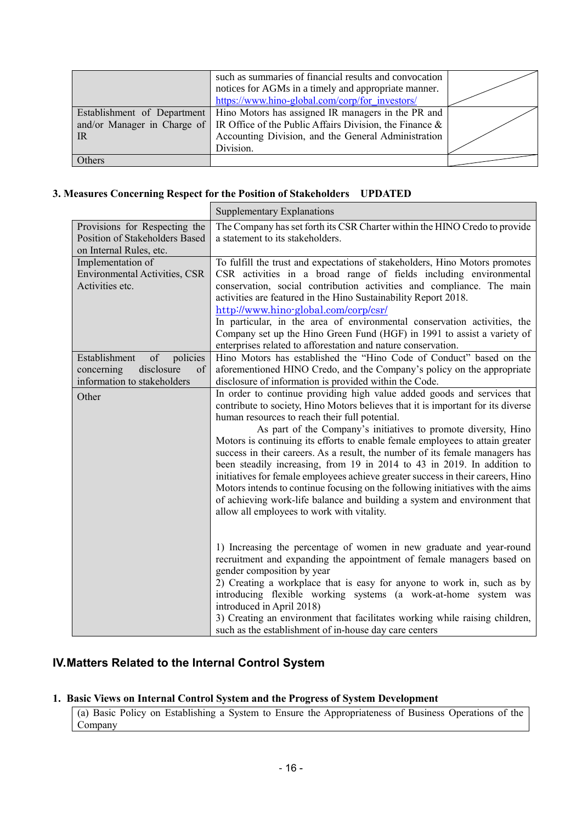|                             | such as summaries of financial results and convocation<br>notices for AGMs in a timely and appropriate manner.<br>https://www.hino-global.com/corp/for investors/ |  |
|-----------------------------|-------------------------------------------------------------------------------------------------------------------------------------------------------------------|--|
| Establishment of Department | Hino Motors has assigned IR managers in the PR and                                                                                                                |  |
|                             | and/or Manager in Charge of   IR Office of the Public Affairs Division, the Finance $\&$                                                                          |  |
| <b>IR</b>                   | Accounting Division, and the General Administration                                                                                                               |  |
|                             | Division.                                                                                                                                                         |  |
| Others                      |                                                                                                                                                                   |  |

# **3. Measures Concerning Respect for the Position of Stakeholders UPDATED**

|                                                                                                  | <b>Supplementary Explanations</b>                                                                                                                                                                                                                                                                                                                                                                                                                                                                                                                                                                                                                                                                                                                                                                                            |
|--------------------------------------------------------------------------------------------------|------------------------------------------------------------------------------------------------------------------------------------------------------------------------------------------------------------------------------------------------------------------------------------------------------------------------------------------------------------------------------------------------------------------------------------------------------------------------------------------------------------------------------------------------------------------------------------------------------------------------------------------------------------------------------------------------------------------------------------------------------------------------------------------------------------------------------|
| Provisions for Respecting the<br>Position of Stakeholders Based<br>on Internal Rules, etc.       | The Company has set forth its CSR Charter within the HINO Credo to provide<br>a statement to its stakeholders.                                                                                                                                                                                                                                                                                                                                                                                                                                                                                                                                                                                                                                                                                                               |
| Implementation of<br><b>Environmental Activities, CSR</b><br>Activities etc.                     | To fulfill the trust and expectations of stakeholders, Hino Motors promotes<br>CSR activities in a broad range of fields including environmental<br>conservation, social contribution activities and compliance. The main<br>activities are featured in the Hino Sustainability Report 2018.<br>http://www.hino-global.com/corp/csr/<br>In particular, in the area of environmental conservation activities, the<br>Company set up the Hino Green Fund (HGF) in 1991 to assist a variety of<br>enterprises related to afforestation and nature conservation.                                                                                                                                                                                                                                                                 |
| Establishment<br>of<br>policies<br>concerning<br>disclosure<br>of<br>information to stakeholders | Hino Motors has established the "Hino Code of Conduct" based on the<br>aforementioned HINO Credo, and the Company's policy on the appropriate<br>disclosure of information is provided within the Code.                                                                                                                                                                                                                                                                                                                                                                                                                                                                                                                                                                                                                      |
| Other                                                                                            | In order to continue providing high value added goods and services that<br>contribute to society, Hino Motors believes that it is important for its diverse<br>human resources to reach their full potential.<br>As part of the Company's initiatives to promote diversity, Hino<br>Motors is continuing its efforts to enable female employees to attain greater<br>success in their careers. As a result, the number of its female managers has<br>been steadily increasing, from 19 in 2014 to 43 in 2019. In addition to<br>initiatives for female employees achieve greater success in their careers, Hino<br>Motors intends to continue focusing on the following initiatives with the aims<br>of achieving work-life balance and building a system and environment that<br>allow all employees to work with vitality. |
|                                                                                                  | 1) Increasing the percentage of women in new graduate and year-round<br>recruitment and expanding the appointment of female managers based on<br>gender composition by year<br>2) Creating a workplace that is easy for anyone to work in, such as by<br>introducing flexible working systems (a work-at-home system was<br>introduced in April 2018)<br>3) Creating an environment that facilitates working while raising children,<br>such as the establishment of in-house day care centers                                                                                                                                                                                                                                                                                                                               |

# **IV.Matters Related to the Internal Control System**

# **1. Basic Views on Internal Control System and the Progress of System Development**

(a) Basic Policy on Establishing a System to Ensure the Appropriateness of Business Operations of the Company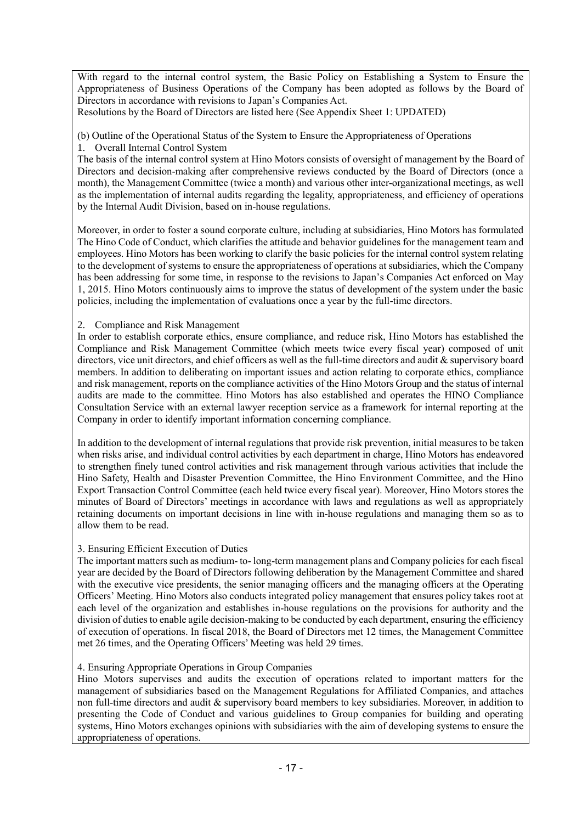With regard to the internal control system, the Basic Policy on Establishing a System to Ensure the Appropriateness of Business Operations of the Company has been adopted as follows by the Board of Directors in accordance with revisions to Japan's Companies Act.

Resolutions by the Board of Directors are listed here (See Appendix Sheet 1: UPDATED)

(b) Outline of the Operational Status of the System to Ensure the Appropriateness of Operations

1. Overall Internal Control System

The basis of the internal control system at Hino Motors consists of oversight of management by the Board of Directors and decision-making after comprehensive reviews conducted by the Board of Directors (once a month), the Management Committee (twice a month) and various other inter-organizational meetings, as well as the implementation of internal audits regarding the legality, appropriateness, and efficiency of operations by the Internal Audit Division, based on in-house regulations.

Moreover, in order to foster a sound corporate culture, including at subsidiaries, Hino Motors has formulated The Hino Code of Conduct, which clarifies the attitude and behavior guidelines for the management team and employees. Hino Motors has been working to clarify the basic policies for the internal control system relating to the development of systems to ensure the appropriateness of operations at subsidiaries, which the Company has been addressing for some time, in response to the revisions to Japan's Companies Act enforced on May 1, 2015. Hino Motors continuously aims to improve the status of development of the system under the basic policies, including the implementation of evaluations once a year by the full-time directors.

# 2. Compliance and Risk Management

In order to establish corporate ethics, ensure compliance, and reduce risk, Hino Motors has established the Compliance and Risk Management Committee (which meets twice every fiscal year) composed of unit directors, vice unit directors, and chief officers as well as the full-time directors and audit & supervisory board members. In addition to deliberating on important issues and action relating to corporate ethics, compliance and risk management, reports on the compliance activities of the Hino Motors Group and the status of internal audits are made to the committee. Hino Motors has also established and operates the HINO Compliance Consultation Service with an external lawyer reception service as a framework for internal reporting at the Company in order to identify important information concerning compliance.

In addition to the development of internal regulations that provide risk prevention, initial measures to be taken when risks arise, and individual control activities by each department in charge, Hino Motors has endeavored to strengthen finely tuned control activities and risk management through various activities that include the Hino Safety, Health and Disaster Prevention Committee, the Hino Environment Committee, and the Hino Export Transaction Control Committee (each held twice every fiscal year). Moreover, Hino Motors stores the minutes of Board of Directors' meetings in accordance with laws and regulations as well as appropriately retaining documents on important decisions in line with in-house regulations and managing them so as to allow them to be read.

# 3. Ensuring Efficient Execution of Duties

The important matters such as medium- to- long-term management plans and Company policies for each fiscal year are decided by the Board of Directors following deliberation by the Management Committee and shared with the executive vice presidents, the senior managing officers and the managing officers at the Operating Officers' Meeting. Hino Motors also conducts integrated policy management that ensures policy takes root at each level of the organization and establishes in-house regulations on the provisions for authority and the division of duties to enable agile decision-making to be conducted by each department, ensuring the efficiency of execution of operations. In fiscal 2018, the Board of Directors met 12 times, the Management Committee met 26 times, and the Operating Officers' Meeting was held 29 times.

# 4. Ensuring Appropriate Operations in Group Companies

Hino Motors supervises and audits the execution of operations related to important matters for the management of subsidiaries based on the Management Regulations for Affiliated Companies, and attaches non full-time directors and audit & supervisory board members to key subsidiaries. Moreover, in addition to presenting the Code of Conduct and various guidelines to Group companies for building and operating systems, Hino Motors exchanges opinions with subsidiaries with the aim of developing systems to ensure the appropriateness of operations.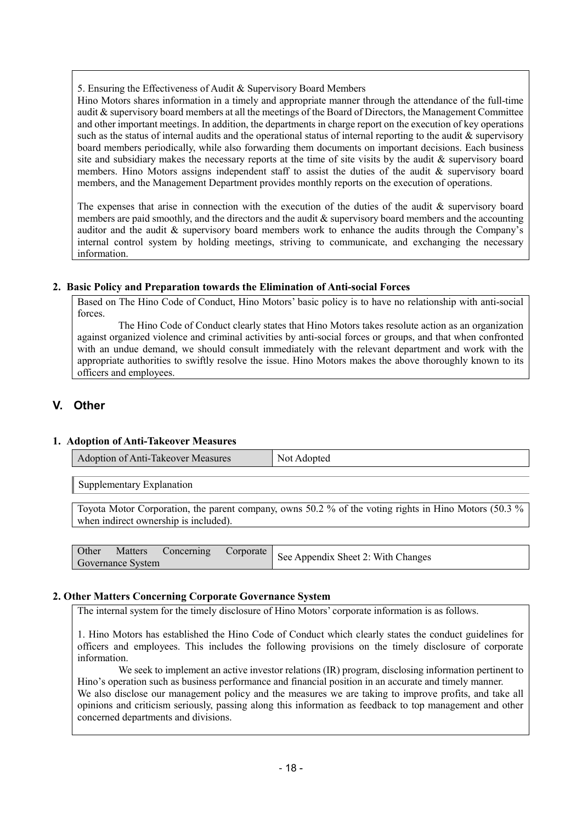5. Ensuring the Effectiveness of Audit & Supervisory Board Members

Hino Motors shares information in a timely and appropriate manner through the attendance of the full-time audit & supervisory board members at all the meetings of the Board of Directors, the Management Committee and other important meetings. In addition, the departments in charge report on the execution of key operations such as the status of internal audits and the operational status of internal reporting to the audit & supervisory board members periodically, while also forwarding them documents on important decisions. Each business site and subsidiary makes the necessary reports at the time of site visits by the audit & supervisory board members. Hino Motors assigns independent staff to assist the duties of the audit & supervisory board members, and the Management Department provides monthly reports on the execution of operations.

The expenses that arise in connection with the execution of the duties of the audit & supervisory board members are paid smoothly, and the directors and the audit & supervisory board members and the accounting auditor and the audit & supervisory board members work to enhance the audits through the Company's internal control system by holding meetings, striving to communicate, and exchanging the necessary information.

## **2. Basic Policy and Preparation towards the Elimination of Anti-social Forces**

Based on The Hino Code of Conduct, Hino Motors' basic policy is to have no relationship with anti-social forces.

The Hino Code of Conduct clearly states that Hino Motors takes resolute action as an organization against organized violence and criminal activities by anti-social forces or groups, and that when confronted with an undue demand, we should consult immediately with the relevant department and work with the appropriate authorities to swiftly resolve the issue. Hino Motors makes the above thoroughly known to its officers and employees.

# **V. Other**

# **1. Adoption of Anti-Takeover Measures**

| Adoption of Anti-Takeover Measures | Not <sub>1</sub><br>Adopted |
|------------------------------------|-----------------------------|
|------------------------------------|-----------------------------|

Supplementary Explanation

Toyota Motor Corporation, the parent company, owns 50.2 % of the voting rights in Hino Motors (50.3 % when indirect ownership is included).

|                   |  | Matters Concerning Corporate See Appendix Sheet 2: With Changes |
|-------------------|--|-----------------------------------------------------------------|
| Governance System |  |                                                                 |

#### **2. Other Matters Concerning Corporate Governance System**

The internal system for the timely disclosure of Hino Motors' corporate information is as follows.

1. Hino Motors has established the Hino Code of Conduct which clearly states the conduct guidelines for officers and employees. This includes the following provisions on the timely disclosure of corporate information.

We seek to implement an active investor relations (IR) program, disclosing information pertinent to Hino's operation such as business performance and financial position in an accurate and timely manner. We also disclose our management policy and the measures we are taking to improve profits, and take all opinions and criticism seriously, passing along this information as feedback to top management and other concerned departments and divisions.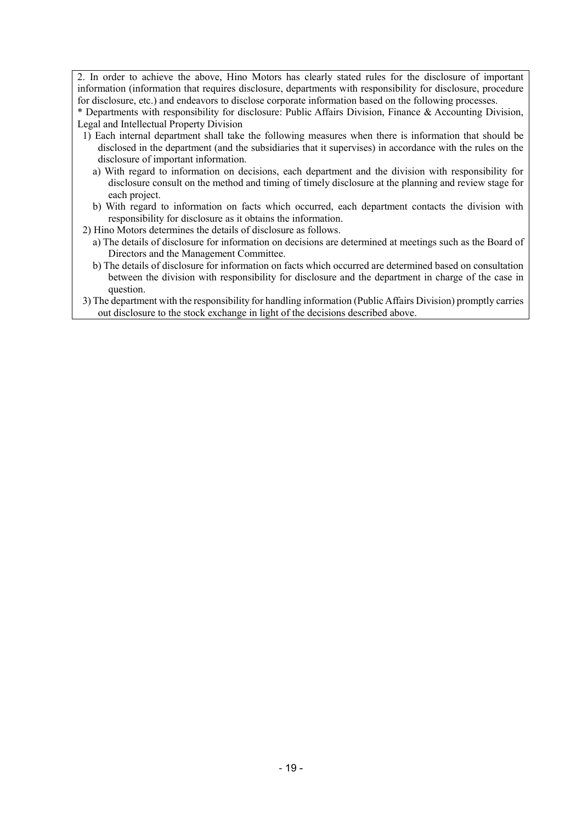2. In order to achieve the above, Hino Motors has clearly stated rules for the disclosure of important information (information that requires disclosure, departments with responsibility for disclosure, procedure for disclosure, etc.) and endeavors to disclose corporate information based on the following processes.

\* Departments with responsibility for disclosure: Public Affairs Division, Finance & Accounting Division, Legal and Intellectual Property Division

- 1) Each internal department shall take the following measures when there is information that should be disclosed in the department (and the subsidiaries that it supervises) in accordance with the rules on the disclosure of important information.
	- a) With regard to information on decisions, each department and the division with responsibility for disclosure consult on the method and timing of timely disclosure at the planning and review stage for each project.
	- b) With regard to information on facts which occurred, each department contacts the division with responsibility for disclosure as it obtains the information.
- 2) Hino Motors determines the details of disclosure as follows.
	- a) The details of disclosure for information on decisions are determined at meetings such as the Board of Directors and the Management Committee.
	- b) The details of disclosure for information on facts which occurred are determined based on consultation between the division with responsibility for disclosure and the department in charge of the case in question.
- 3) The department with the responsibility for handling information (Public Affairs Division) promptly carries out disclosure to the stock exchange in light of the decisions described above.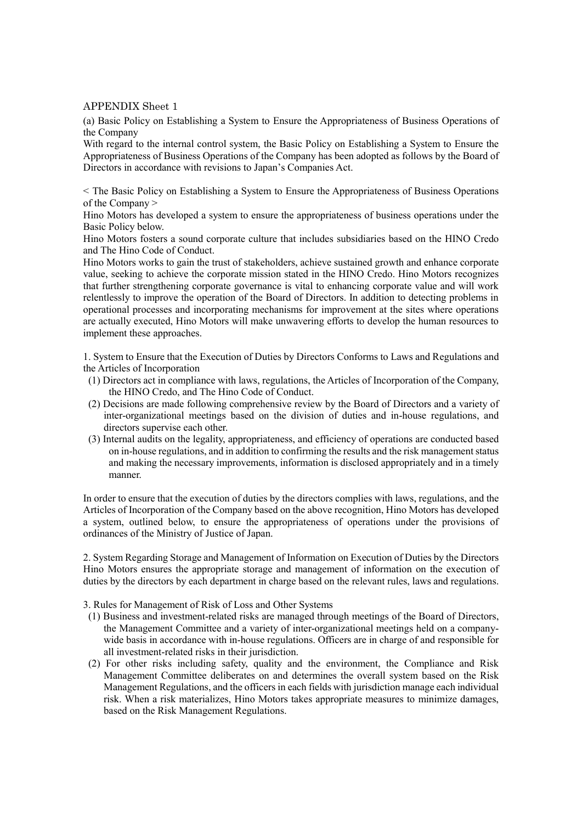#### APPENDIX Sheet 1

(a) Basic Policy on Establishing a System to Ensure the Appropriateness of Business Operations of the Company

With regard to the internal control system, the Basic Policy on Establishing a System to Ensure the Appropriateness of Business Operations of the Company has been adopted as follows by the Board of Directors in accordance with revisions to Japan's Companies Act.

< The Basic Policy on Establishing a System to Ensure the Appropriateness of Business Operations of the Company >

Hino Motors has developed a system to ensure the appropriateness of business operations under the Basic Policy below.

Hino Motors fosters a sound corporate culture that includes subsidiaries based on the HINO Credo and The Hino Code of Conduct.

Hino Motors works to gain the trust of stakeholders, achieve sustained growth and enhance corporate value, seeking to achieve the corporate mission stated in the HINO Credo. Hino Motors recognizes that further strengthening corporate governance is vital to enhancing corporate value and will work relentlessly to improve the operation of the Board of Directors. In addition to detecting problems in operational processes and incorporating mechanisms for improvement at the sites where operations are actually executed, Hino Motors will make unwavering efforts to develop the human resources to implement these approaches.

1. System to Ensure that the Execution of Duties by Directors Conforms to Laws and Regulations and the Articles of Incorporation

- (1) Directors act in compliance with laws, regulations, the Articles of Incorporation of the Company, the HINO Credo, and The Hino Code of Conduct.
- (2) Decisions are made following comprehensive review by the Board of Directors and a variety of inter-organizational meetings based on the division of duties and in-house regulations, and directors supervise each other.
- (3) Internal audits on the legality, appropriateness, and efficiency of operations are conducted based on in-house regulations, and in addition to confirming the results and the risk management status and making the necessary improvements, information is disclosed appropriately and in a timely manner.

In order to ensure that the execution of duties by the directors complies with laws, regulations, and the Articles of Incorporation of the Company based on the above recognition, Hino Motors has developed a system, outlined below, to ensure the appropriateness of operations under the provisions of ordinances of the Ministry of Justice of Japan.

2. System Regarding Storage and Management of Information on Execution of Duties by the Directors Hino Motors ensures the appropriate storage and management of information on the execution of duties by the directors by each department in charge based on the relevant rules, laws and regulations.

3. Rules for Management of Risk of Loss and Other Systems

- (1) Business and investment-related risks are managed through meetings of the Board of Directors, the Management Committee and a variety of inter-organizational meetings held on a companywide basis in accordance with in-house regulations. Officers are in charge of and responsible for all investment-related risks in their jurisdiction.
- (2) For other risks including safety, quality and the environment, the Compliance and Risk Management Committee deliberates on and determines the overall system based on the Risk Management Regulations, and the officers in each fields with jurisdiction manage each individual risk. When a risk materializes, Hino Motors takes appropriate measures to minimize damages, based on the Risk Management Regulations.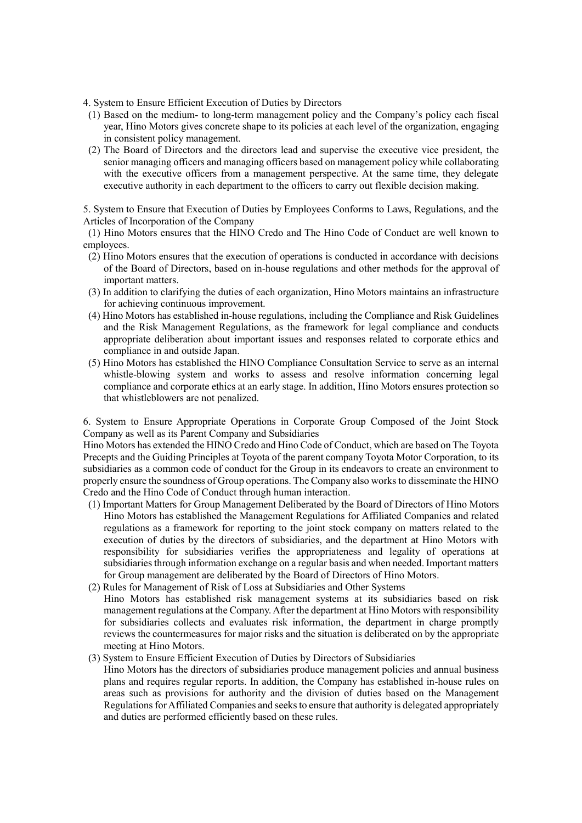- 4. System to Ensure Efficient Execution of Duties by Directors
- (1) Based on the medium- to long-term management policy and the Company's policy each fiscal year, Hino Motors gives concrete shape to its policies at each level of the organization, engaging in consistent policy management.
- (2) The Board of Directors and the directors lead and supervise the executive vice president, the senior managing officers and managing officers based on management policy while collaborating with the executive officers from a management perspective. At the same time, they delegate executive authority in each department to the officers to carry out flexible decision making.

5. System to Ensure that Execution of Duties by Employees Conforms to Laws, Regulations, and the Articles of Incorporation of the Company

(1) Hino Motors ensures that the HINO Credo and The Hino Code of Conduct are well known to employees.

- (2) Hino Motors ensures that the execution of operations is conducted in accordance with decisions of the Board of Directors, based on in-house regulations and other methods for the approval of important matters.
- (3) In addition to clarifying the duties of each organization, Hino Motors maintains an infrastructure for achieving continuous improvement.
- (4) Hino Motors has established in-house regulations, including the Compliance and Risk Guidelines and the Risk Management Regulations, as the framework for legal compliance and conducts appropriate deliberation about important issues and responses related to corporate ethics and compliance in and outside Japan.
- (5) Hino Motors has established the HINO Compliance Consultation Service to serve as an internal whistle-blowing system and works to assess and resolve information concerning legal compliance and corporate ethics at an early stage. In addition, Hino Motors ensures protection so that whistleblowers are not penalized.

6. System to Ensure Appropriate Operations in Corporate Group Composed of the Joint Stock Company as well as its Parent Company and Subsidiaries

Hino Motors has extended the HINO Credo and Hino Code of Conduct, which are based on The Toyota Precepts and the Guiding Principles at Toyota of the parent company Toyota Motor Corporation, to its subsidiaries as a common code of conduct for the Group in its endeavors to create an environment to properly ensure the soundness of Group operations. The Company also works to disseminate the HINO Credo and the Hino Code of Conduct through human interaction.

- (1) Important Matters for Group Management Deliberated by the Board of Directors of Hino Motors Hino Motors has established the Management Regulations for Affiliated Companies and related regulations as a framework for reporting to the joint stock company on matters related to the execution of duties by the directors of subsidiaries, and the department at Hino Motors with responsibility for subsidiaries verifies the appropriateness and legality of operations at subsidiaries through information exchange on a regular basis and when needed. Important matters for Group management are deliberated by the Board of Directors of Hino Motors.
- (2) Rules for Management of Risk of Loss at Subsidiaries and Other Systems Hino Motors has established risk management systems at its subsidiaries based on risk management regulations at the Company. After the department at Hino Motors with responsibility for subsidiaries collects and evaluates risk information, the department in charge promptly reviews the countermeasures for major risks and the situation is deliberated on by the appropriate meeting at Hino Motors.
- (3) System to Ensure Efficient Execution of Duties by Directors of Subsidiaries Hino Motors has the directors of subsidiaries produce management policies and annual business plans and requires regular reports. In addition, the Company has established in-house rules on areas such as provisions for authority and the division of duties based on the Management Regulations for Affiliated Companies and seeks to ensure that authority is delegated appropriately and duties are performed efficiently based on these rules.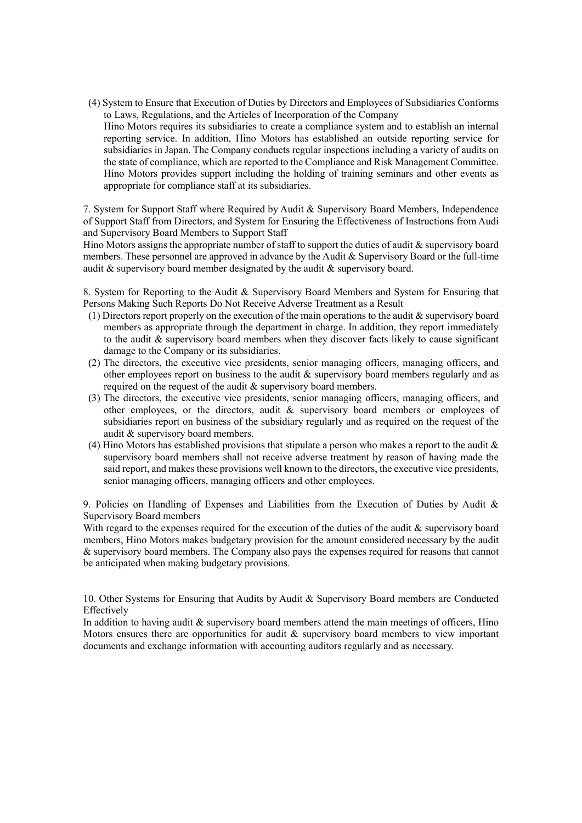(4) System to Ensure that Execution of Duties by Directors and Employees of Subsidiaries Conforms to Laws, Regulations, and the Articles of Incorporation of the Company

Hino Motors requires its subsidiaries to create a compliance system and to establish an internal reporting service. In addition, Hino Motors has established an outside reporting service for subsidiaries in Japan. The Company conducts regular inspections including a variety of audits on the state of compliance, which are reported to the Compliance and Risk Management Committee. Hino Motors provides support including the holding of training seminars and other events as appropriate for compliance staff at its subsidiaries.

7. System for Support Staff where Required by Audit & Supervisory Board Members, Independence of Support Staff from Directors, and System for Ensuring the Effectiveness of Instructions from Audi and Supervisory Board Members to Support Staff

Hino Motors assigns the appropriate number of staff to support the duties of audit  $\&$  supervisory board members. These personnel are approved in advance by the Audit & Supervisory Board or the full-time audit & supervisory board member designated by the audit & supervisory board.

8. System for Reporting to the Audit & Supervisory Board Members and System for Ensuring that Persons Making Such Reports Do Not Receive Adverse Treatment as a Result

- (1) Directors report properly on the execution of the main operations to the audit  $\&$  supervisory board members as appropriate through the department in charge. In addition, they report immediately to the audit  $\&$  supervisory board members when they discover facts likely to cause significant damage to the Company or its subsidiaries.
- (2) The directors, the executive vice presidents, senior managing officers, managing officers, and other employees report on business to the audit & supervisory board members regularly and as required on the request of the audit & supervisory board members.
- (3) The directors, the executive vice presidents, senior managing officers, managing officers, and other employees, or the directors, audit & supervisory board members or employees of subsidiaries report on business of the subsidiary regularly and as required on the request of the audit & supervisory board members.
- (4) Hino Motors has established provisions that stipulate a person who makes a report to the audit & supervisory board members shall not receive adverse treatment by reason of having made the said report, and makes these provisions well known to the directors, the executive vice presidents, senior managing officers, managing officers and other employees.

9. Policies on Handling of Expenses and Liabilities from the Execution of Duties by Audit  $\&$ Supervisory Board members

With regard to the expenses required for the execution of the duties of the audit & supervisory board members, Hino Motors makes budgetary provision for the amount considered necessary by the audit & supervisory board members. The Company also pays the expenses required for reasons that cannot be anticipated when making budgetary provisions.

10. Other Systems for Ensuring that Audits by Audit & Supervisory Board members are Conducted Effectively

In addition to having audit & supervisory board members attend the main meetings of officers, Hino Motors ensures there are opportunities for audit  $\&$  supervisory board members to view important documents and exchange information with accounting auditors regularly and as necessary.